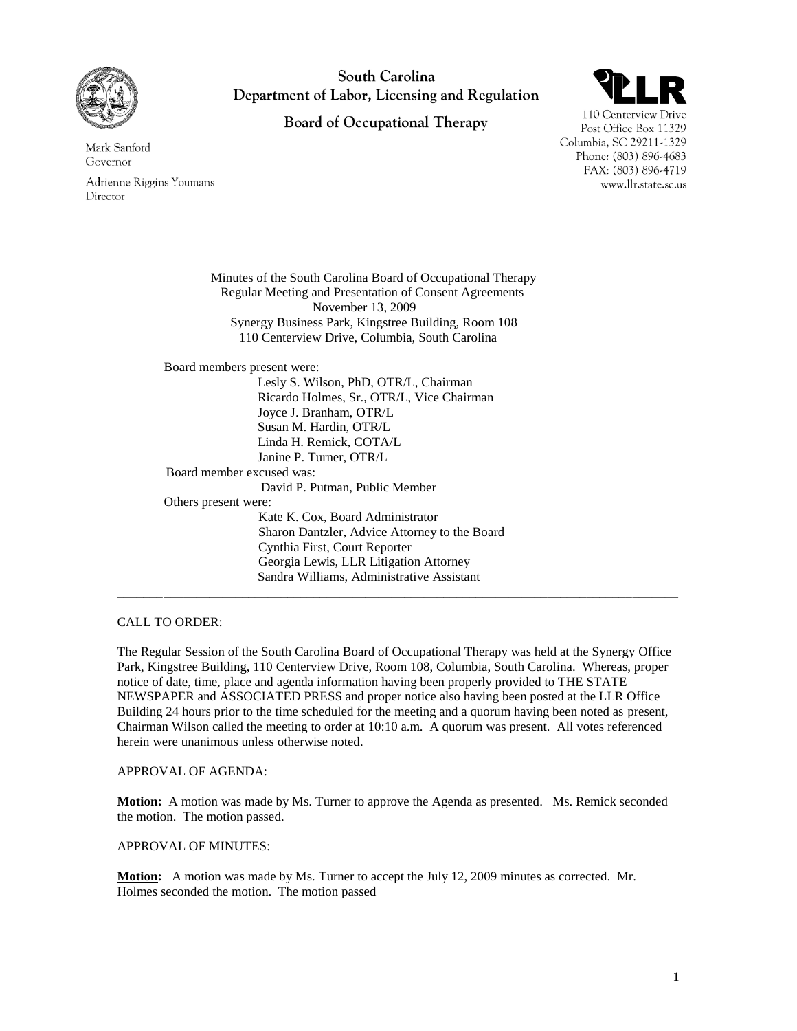

Mark Sanford

Adrienne Riggins Youmans

Governor

Director

South Carolina Department of Labor, Licensing and Regulation

**Board of Occupational Therapy** 



110 Centerview Drive Post Office Box 11329 Columbia, SC 29211-1329 Phone: (803) 896-4683 FAX: (803) 896-4719 www.llr.state.sc.us

Minutes of the South Carolina Board of Occupational Therapy Regular Meeting and Presentation of Consent Agreements November 13, 2009 Synergy Business Park, Kingstree Building, Room 108 110 Centerview Drive, Columbia, South Carolina Board members present were: Lesly S. Wilson, PhD, OTR/L, Chairman Ricardo Holmes, Sr., OTR/L, Vice Chairman Joyce J. Branham, OTR/L Susan M. Hardin, OTR/L Linda H. Remick, COTA/L Janine P. Turner, OTR/L Board member excused was: David P. Putman, Public Member Others present were: Kate K. Cox, Board Administrator Sharon Dantzler, Advice Attorney to the Board Cynthia First, Court Reporter Georgia Lewis, LLR Litigation Attorney Sandra Williams, Administrative Assistant **\_\_\_\_\_\_\_\_\_\_\_\_\_\_\_\_\_\_\_\_\_\_\_\_\_\_\_\_\_\_\_\_\_\_\_\_\_\_\_\_\_\_\_\_\_\_\_\_\_\_\_\_\_\_\_\_\_\_\_\_\_\_\_\_\_\_\_\_\_\_\_\_\_\_\_\_\_\_\_\_\_\_\_\_\_\_**

# CALL TO ORDER:

The Regular Session of the South Carolina Board of Occupational Therapy was held at the Synergy Office Park, Kingstree Building, 110 Centerview Drive, Room 108, Columbia, South Carolina. Whereas, proper notice of date, time, place and agenda information having been properly provided to THE STATE NEWSPAPER and ASSOCIATED PRESS and proper notice also having been posted at the LLR Office Building 24 hours prior to the time scheduled for the meeting and a quorum having been noted as present, Chairman Wilson called the meeting to order at 10:10 a.m. A quorum was present. All votes referenced herein were unanimous unless otherwise noted.

# APPROVAL OF AGENDA:

**Motion:** A motion was made by Ms. Turner to approve the Agenda as presented. Ms. Remick seconded the motion. The motion passed.

#### APPROVAL OF MINUTES:

**Motion:** A motion was made by Ms. Turner to accept the July 12, 2009 minutes as corrected. Mr. Holmes seconded the motion. The motion passed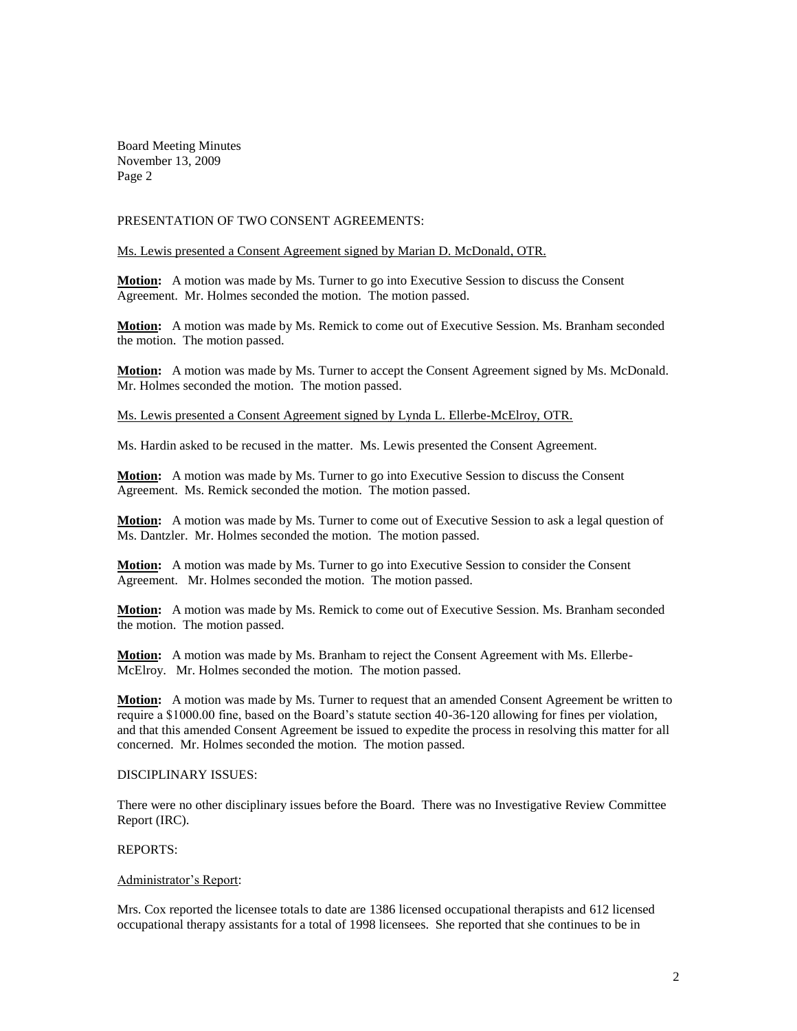Board Meeting Minutes November 13, 2009 Page 2

### PRESENTATION OF TWO CONSENT AGREEMENTS:

#### Ms. Lewis presented a Consent Agreement signed by Marian D. McDonald, OTR.

**Motion:** A motion was made by Ms. Turner to go into Executive Session to discuss the Consent Agreement. Mr. Holmes seconded the motion. The motion passed.

**Motion:** A motion was made by Ms. Remick to come out of Executive Session. Ms. Branham seconded the motion. The motion passed.

**Motion:** A motion was made by Ms. Turner to accept the Consent Agreement signed by Ms. McDonald. Mr. Holmes seconded the motion. The motion passed.

Ms. Lewis presented a Consent Agreement signed by Lynda L. Ellerbe-McElroy, OTR.

Ms. Hardin asked to be recused in the matter. Ms. Lewis presented the Consent Agreement.

**Motion:** A motion was made by Ms. Turner to go into Executive Session to discuss the Consent Agreement. Ms. Remick seconded the motion. The motion passed.

**Motion:** A motion was made by Ms. Turner to come out of Executive Session to ask a legal question of Ms. Dantzler. Mr. Holmes seconded the motion. The motion passed.

**Motion:** A motion was made by Ms. Turner to go into Executive Session to consider the Consent Agreement. Mr. Holmes seconded the motion. The motion passed.

**Motion:** A motion was made by Ms. Remick to come out of Executive Session. Ms. Branham seconded the motion. The motion passed.

**Motion:** A motion was made by Ms. Branham to reject the Consent Agreement with Ms. Ellerbe-McElroy. Mr. Holmes seconded the motion. The motion passed.

**Motion:** A motion was made by Ms. Turner to request that an amended Consent Agreement be written to require a \$1000.00 fine, based on the Board's statute section 40-36-120 allowing for fines per violation, and that this amended Consent Agreement be issued to expedite the process in resolving this matter for all concerned. Mr. Holmes seconded the motion. The motion passed.

### DISCIPLINARY ISSUES:

There were no other disciplinary issues before the Board. There was no Investigative Review Committee Report (IRC).

#### REPORTS:

#### Administrator's Report:

Mrs. Cox reported the licensee totals to date are 1386 licensed occupational therapists and 612 licensed occupational therapy assistants for a total of 1998 licensees. She reported that she continues to be in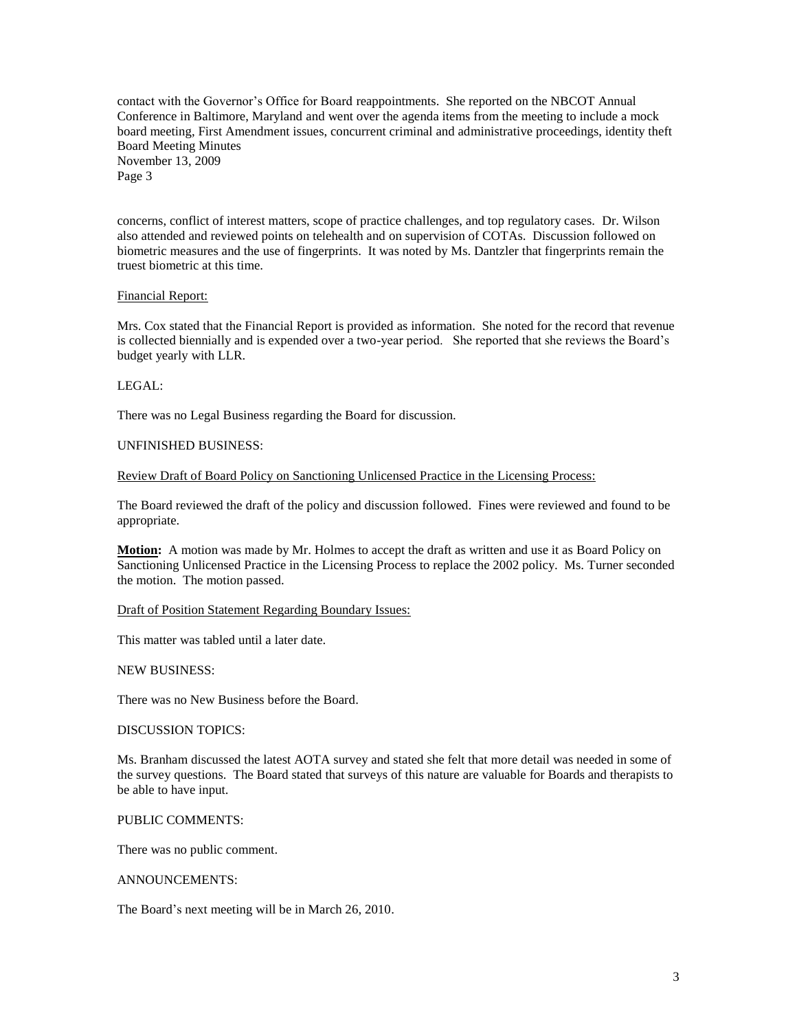contact with the Governor's Office for Board reappointments. She reported on the NBCOT Annual Conference in Baltimore, Maryland and went over the agenda items from the meeting to include a mock board meeting, First Amendment issues, concurrent criminal and administrative proceedings, identity theft Board Meeting Minutes November 13, 2009

Page 3

concerns, conflict of interest matters, scope of practice challenges, and top regulatory cases. Dr. Wilson also attended and reviewed points on telehealth and on supervision of COTAs. Discussion followed on biometric measures and the use of fingerprints. It was noted by Ms. Dantzler that fingerprints remain the truest biometric at this time.

## Financial Report:

Mrs. Cox stated that the Financial Report is provided as information. She noted for the record that revenue is collected biennially and is expended over a two-year period. She reported that she reviews the Board's budget yearly with LLR.

## LEGAL:

There was no Legal Business regarding the Board for discussion.

## UNFINISHED BUSINESS:

Review Draft of Board Policy on Sanctioning Unlicensed Practice in the Licensing Process:

The Board reviewed the draft of the policy and discussion followed. Fines were reviewed and found to be appropriate.

**Motion:** A motion was made by Mr. Holmes to accept the draft as written and use it as Board Policy on Sanctioning Unlicensed Practice in the Licensing Process to replace the 2002 policy. Ms. Turner seconded the motion. The motion passed.

# Draft of Position Statement Regarding Boundary Issues:

This matter was tabled until a later date.

#### NEW BUSINESS:

There was no New Business before the Board.

# DISCUSSION TOPICS:

Ms. Branham discussed the latest AOTA survey and stated she felt that more detail was needed in some of the survey questions. The Board stated that surveys of this nature are valuable for Boards and therapists to be able to have input.

# PUBLIC COMMENTS:

There was no public comment.

#### ANNOUNCEMENTS:

The Board's next meeting will be in March 26, 2010.